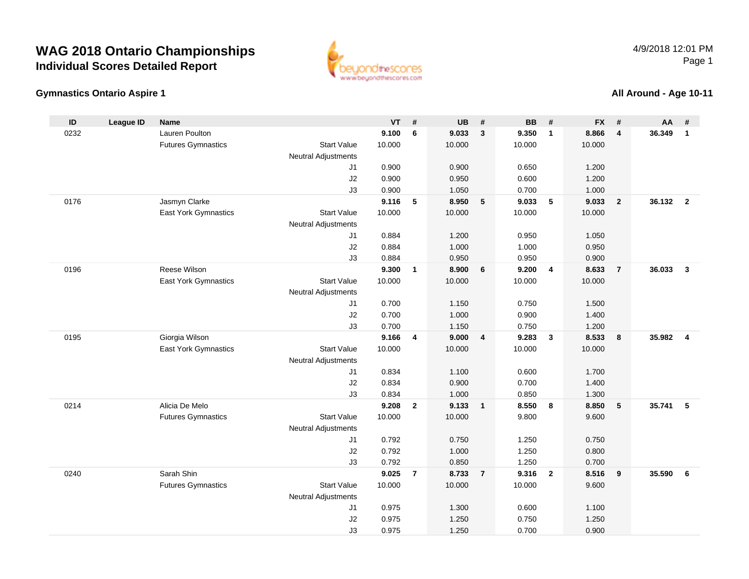## **WAG 2018 Ontario ChampionshipsIndividual Scores Detailed Report**



## **Gymnastics Ontario Aspire 1**

## **All Around - Age 10-11**

| ID   | <b>League ID</b> | <b>Name</b>               |                            | <b>VT</b>      | #                       | <b>UB</b>      | #              | <b>BB</b>      | #              | <b>FX</b>      | #                       | AA     | #                       |
|------|------------------|---------------------------|----------------------------|----------------|-------------------------|----------------|----------------|----------------|----------------|----------------|-------------------------|--------|-------------------------|
| 0232 |                  | Lauren Poulton            |                            | 9.100          | 6                       | 9.033          | $\mathbf{3}$   | 9.350          | $\mathbf{1}$   | 8.866          | $\overline{4}$          | 36.349 | $\overline{1}$          |
|      |                  | <b>Futures Gymnastics</b> | <b>Start Value</b>         | 10.000         |                         | 10.000         |                | 10.000         |                | 10.000         |                         |        |                         |
|      |                  |                           | <b>Neutral Adjustments</b> |                |                         |                |                |                |                |                |                         |        |                         |
|      |                  |                           | J1                         | 0.900          |                         | 0.900          |                | 0.650          |                | 1.200          |                         |        |                         |
|      |                  |                           | J2                         | 0.900          |                         | 0.950          |                | 0.600          |                | 1.200          |                         |        |                         |
|      |                  |                           | J3                         | 0.900          |                         | 1.050          |                | 0.700          |                | 1.000          |                         |        |                         |
| 0176 |                  | Jasmyn Clarke             |                            | 9.116          | 5                       | 8.950          | 5              | 9.033          | 5              | 9.033          | $\overline{\mathbf{2}}$ | 36.132 | $\overline{\mathbf{2}}$ |
|      |                  | East York Gymnastics      | <b>Start Value</b>         | 10.000         |                         | 10.000         |                | 10.000         |                | 10.000         |                         |        |                         |
|      |                  |                           | <b>Neutral Adjustments</b> |                |                         |                |                |                |                |                |                         |        |                         |
|      |                  |                           | J1                         | 0.884          |                         | 1.200          |                | 0.950          |                | 1.050          |                         |        |                         |
|      |                  |                           | J2<br>J3                   | 0.884<br>0.884 |                         | 1.000<br>0.950 |                | 1.000<br>0.950 |                | 0.950<br>0.900 |                         |        |                         |
| 0196 |                  | Reese Wilson              |                            | 9.300          | $\mathbf{1}$            | 8.900          | 6              | 9.200          | 4              | 8.633          | $\overline{7}$          | 36.033 | $\mathbf{3}$            |
|      |                  | East York Gymnastics      | <b>Start Value</b>         | 10.000         |                         | 10.000         |                | 10.000         |                | 10.000         |                         |        |                         |
|      |                  |                           | Neutral Adjustments        |                |                         |                |                |                |                |                |                         |        |                         |
|      |                  |                           | J1                         | 0.700          |                         | 1.150          |                | 0.750          |                | 1.500          |                         |        |                         |
|      |                  |                           | J2                         | 0.700          |                         | 1.000          |                | 0.900          |                | 1.400          |                         |        |                         |
|      |                  |                           | J3                         | 0.700          |                         | 1.150          |                | 0.750          |                | 1.200          |                         |        |                         |
| 0195 |                  | Giorgia Wilson            |                            | 9.166          | $\overline{\mathbf{4}}$ | 9.000          | $\overline{4}$ | 9.283          | $\mathbf{3}$   | 8.533          | $\boldsymbol{8}$        | 35.982 | $\overline{4}$          |
|      |                  | East York Gymnastics      | <b>Start Value</b>         | 10.000         |                         | 10.000         |                | 10.000         |                | 10.000         |                         |        |                         |
|      |                  |                           | Neutral Adjustments        |                |                         |                |                |                |                |                |                         |        |                         |
|      |                  |                           | J1                         | 0.834          |                         | 1.100          |                | 0.600          |                | 1.700          |                         |        |                         |
|      |                  |                           | J2                         | 0.834          |                         | 0.900          |                | 0.700          |                | 1.400          |                         |        |                         |
|      |                  |                           | J3                         | 0.834          |                         | 1.000          |                | 0.850          |                | 1.300          |                         |        |                         |
| 0214 |                  | Alicia De Melo            |                            | 9.208          | $\mathbf{2}$            | 9.133          | $\mathbf{1}$   | 8.550          | 8              | 8.850          | 5                       | 35.741 | -5                      |
|      |                  | <b>Futures Gymnastics</b> | <b>Start Value</b>         | 10.000         |                         | 10.000         |                | 9.800          |                | 9.600          |                         |        |                         |
|      |                  |                           | Neutral Adjustments        |                |                         |                |                |                |                |                |                         |        |                         |
|      |                  |                           | J1                         | 0.792          |                         | 0.750          |                | 1.250          |                | 0.750          |                         |        |                         |
|      |                  |                           | J2<br>J3                   | 0.792<br>0.792 |                         | 1.000<br>0.850 |                | 1.250<br>1.250 |                | 0.800<br>0.700 |                         |        |                         |
| 0240 |                  | Sarah Shin                |                            | 9.025          | $\overline{7}$          | 8.733          | $\overline{7}$ | 9.316          | $\overline{2}$ | 8.516          | 9                       | 35.590 | 6                       |
|      |                  | <b>Futures Gymnastics</b> | <b>Start Value</b>         | 10.000         |                         | 10.000         |                | 10.000         |                | 9.600          |                         |        |                         |
|      |                  |                           | Neutral Adjustments        |                |                         |                |                |                |                |                |                         |        |                         |
|      |                  |                           | J1                         | 0.975          |                         | 1.300          |                | 0.600          |                | 1.100          |                         |        |                         |
|      |                  |                           | J2                         | 0.975          |                         | 1.250          |                | 0.750          |                | 1.250          |                         |        |                         |
|      |                  |                           | J3                         | 0.975          |                         | 1.250          |                | 0.700          |                | 0.900          |                         |        |                         |